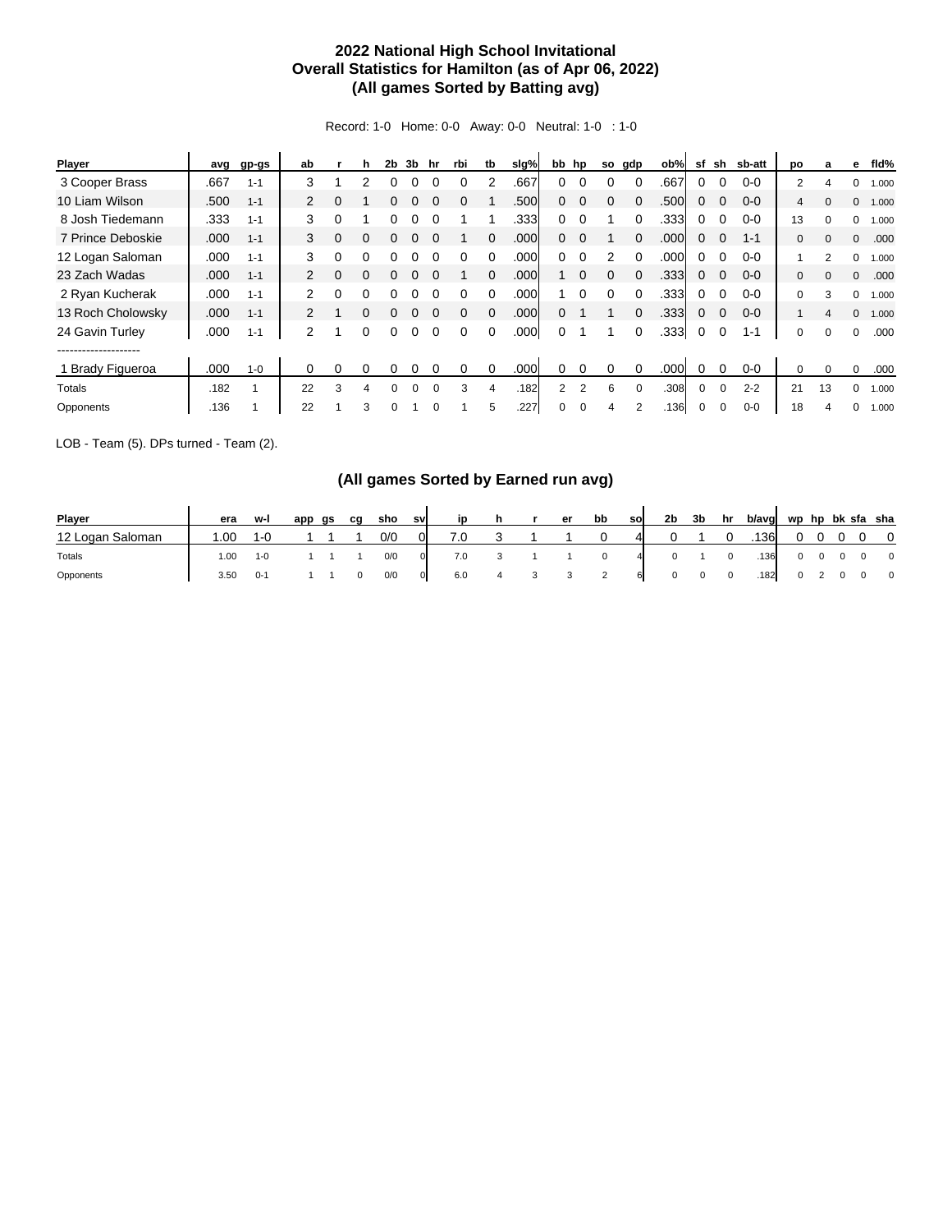## **2022 National High School Invitational Overall Statistics for Hamilton (as of Apr 06, 2022) (All games Sorted by Batting avg)**

Record: 1-0 Home: 0-0 Away: 0-0 Neutral: 1-0 : 1-0

| Player            | avg  | gp-gs   | ab             |   | h | 2b | 3b       | hr       | rbi | tb       | slg% |                | bb hp    | so       | gdp      | ob%  | sf | sh       | sb-att  | po             | a        | е            | fld%  |
|-------------------|------|---------|----------------|---|---|----|----------|----------|-----|----------|------|----------------|----------|----------|----------|------|----|----------|---------|----------------|----------|--------------|-------|
| 3 Cooper Brass    | .667 | $1 - 1$ | 3              |   | 2 |    |          |          |     |          | .667 | 0              | $\Omega$ |          | $\Omega$ | .667 | 0  |          | $0 - 0$ | $\overline{2}$ |          | 0            | 1.000 |
| 10 Liam Wilson    | .500 | $1 - 1$ | 2              | 0 |   | 0  | 0        |          |     |          | .500 | 0              | $\Omega$ | $\Omega$ | $\Omega$ | .500 | 0  | $\Omega$ | $0 - 0$ | 4              | $\Omega$ | $\mathbf{0}$ | 1.000 |
| 8 Josh Tiedemann  | .333 | $1 - 1$ | 3              | 0 |   |    |          |          |     |          | .333 | 0              | 0        |          |          | .333 | 0  |          | $0 - 0$ | 13             |          | 0            | 1.000 |
| 7 Prince Deboskie | .000 | $1 - 1$ | 3              | 0 | 0 | 0  | 0        |          |     | $\Omega$ | .000 | 0              | $\Omega$ |          |          | .000 | 0  | $\Omega$ | $1 - 1$ | $\mathbf{0}$   | $\Omega$ | $\Omega$     | .000  |
| 12 Logan Saloman  | .000 | $1 - 1$ | 3              | 0 | 0 |    | n        |          |     |          | .000 | 0              | $\Omega$ | 2        | $\Omega$ | .000 | 0  |          | $0 - 0$ |                | 2        | 0            | 1.000 |
| 23 Zach Wadas     | .000 | $1 - 1$ | $\overline{2}$ | 0 | 0 | 0  | 0        |          |     | $\Omega$ | .000 |                | $\Omega$ | 0        | $\Omega$ | .333 | 0  | $\Omega$ | $0 - 0$ | $\mathbf{0}$   |          | $\mathbf{0}$ | .000  |
| 2 Ryan Kucherak   | .000 | $1 - 1$ | 2              | 0 | 0 |    |          |          |     |          | .000 |                |          |          |          | .333 | 0  |          | $0 - 0$ | 0              | 3        | $\Omega$     | 1.000 |
| 13 Roch Cholowsky | .000 | $1 - 1$ | 2              |   | 0 | 0  | 0        |          | 0   | $\Omega$ | .000 | 0              |          |          | $\Omega$ | .333 | 0  | $\Omega$ | $0 - 0$ |                | 4        | $\Omega$     | 1.000 |
| 24 Gavin Turley   | .000 | $1 - 1$ | $\overline{2}$ |   | 0 | 0  | 0        |          |     | $\Omega$ | .000 | 0              |          |          |          | .333 | 0  |          | $1 - 1$ | 0              | 0        | 0            | .000  |
|                   |      |         |                |   |   |    |          |          |     |          |      |                |          |          |          |      |    |          |         |                |          |              |       |
| 1 Brady Figueroa  | .000 | $1 - 0$ | 0              | 0 | 0 | 0  | n        |          | 0   | $\Omega$ | .000 | 0              | 0        | $\Omega$ | $\Omega$ | .000 | 0  | $\Omega$ | $0 - 0$ | 0              | $\Omega$ | $\Omega$     | .000  |
| Totals            | .182 |         | 22             | 3 | 4 |    | $\Omega$ | $\Omega$ | 3   | 4        | .182 | $\overline{2}$ | 2        | 6        | $\Omega$ | .308 | 0  | $\Omega$ | $2 - 2$ | 21             | 13       | 0            | 1.000 |
| Opponents         | .136 |         | 22             |   | 3 |    |          |          |     | 5        | .227 | 0              | $\Omega$ | 4        |          | .136 |    |          | $0 - 0$ | 18             |          | 0            | 1.000 |

LOB - Team (5). DPs turned - Team (2).

## **(All games Sorted by Earned run avg)**

| Player           | era  | w-i     | app | as | cq | sho | sv             | ip  | h |    | er | bb             | so           | 2b           | 3b          | hr                       | b/avg | wp hp bk sfa sha |                |            |                          |
|------------------|------|---------|-----|----|----|-----|----------------|-----|---|----|----|----------------|--------------|--------------|-------------|--------------------------|-------|------------------|----------------|------------|--------------------------|
| 12 Logan Saloman | 0.00 | 1-0     |     |    |    | 0/0 | 01             | 7.0 |   |    |    |                | $\mathbf{a}$ |              |             |                          | .136  |                  |                |            | $\overline{0}$           |
| Totals           | 1.00 | $1 - 0$ |     |    |    | 0/0 | $\overline{0}$ | 7.0 |   |    |    |                | 4            |              |             | $^{\circ}$               | .136  | $\mathbf{0}$     | $\overline{0}$ | $0\quad 0$ | $\overline{\phantom{0}}$ |
| Opponents        | 3.50 | $0 - 1$ |     |    |    | 0/0 | $\mathbf{0}$   | 6.0 |   | -3 |    | $\overline{2}$ | 6            | $\mathbf{0}$ | $\mathbf 0$ | $\overline{\phantom{0}}$ | .182  | $\mathbf{0}$     |                | 2 0 0      | $\overline{\mathbf{0}}$  |